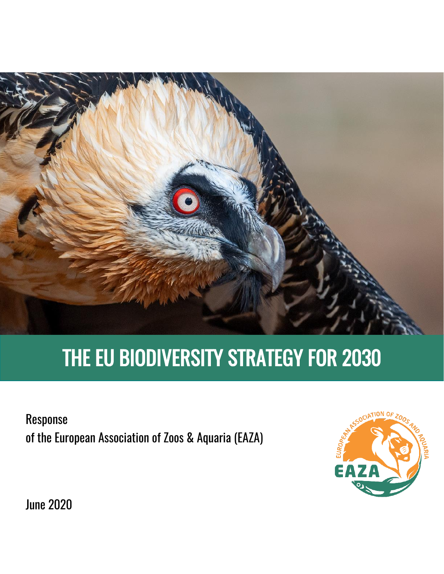

# THE EU BIODIVERSITY STRATEGY FOR 2030

Response of the European Association of Zoos & Aquaria (EAZA)



June 2020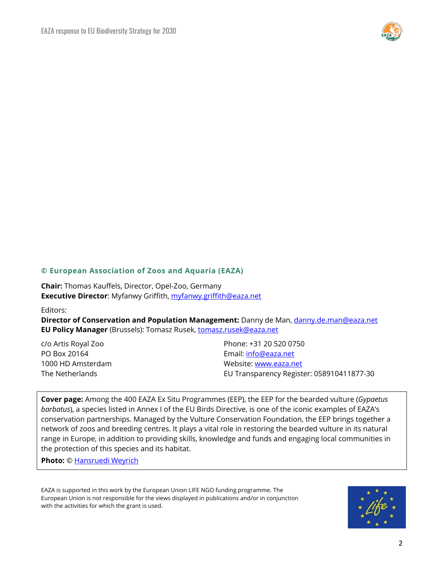

#### **© European Association of Zoos and Aquaria (EAZA)**

**Chair:** Thomas Kauffels, Director, Opel-Zoo, Germany **Executive Director**: Myfanwy Griffith, [myfanwy.griffith@eaza.net](mailto:myfanwy.griffith@eaza.net)

#### Editors:

**Director of Conservation and Population Management:** Danny de Man, [danny.de.man@eaza.net](mailto:danny.de.man@eaza.net) **EU Policy Manager** (Brussels): Tomasz Rusek, [tomasz.rusek@eaza.net](mailto:tomasz.rusek@eaza.net)

c/o Artis Royal Zoo Phone: +31 20 520 0750 PO Box 20164 Email: [info@eaza.net](mailto:info@eaza.net) 1000 HD Amsterdam Website: [www.eaza.net](http://www.eaza.net/) The Netherlands EU Transparency Register: 058910411877-30

**Cover page:** Among the 400 EAZA Ex Situ Programmes (EEP), the EEP for the bearded vulture (*Gypaetus barbatus*), a species listed in Annex I of the EU Birds Directive, is one of the iconic examples of EAZA's conservation partnerships. Managed by the Vulture Conservation Foundation, the EEP brings together a network of zoos and breeding centres. It plays a vital role in restoring the bearded vulture in its natural range in Europe, in addition to providing skills, knowledge and funds and engaging local communities in the protection of this species and its habitat.

**Photo:** [© Hansruedi Weyrich](http://www.weyrichfoto.ch/)

EAZA is supported in this work by the European Union LIFE NGO funding programme. The European Union is not responsible for the views displayed in publications and/or in conjunction with the activities for which the grant is used.

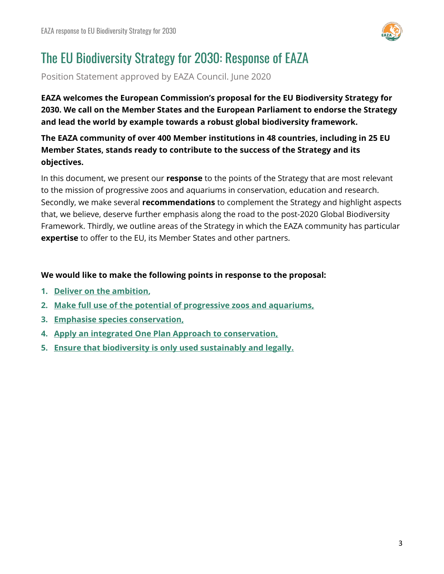

# The EU Biodiversity Strategy for 2030: Response of EAZA

Position Statement approved by EAZA Council. June 2020

**EAZA welcomes the European Commission's proposal for the EU Biodiversity Strategy for 2030. We call on the Member States and the European Parliament to endorse the Strategy and lead the world by example towards a robust global biodiversity framework.**

**The EAZA community of over 400 Member institutions in 48 countries, including in 25 EU Member States, stands ready to contribute to the success of the Strategy and its objectives.**

In this document, we present our **response** to the points of the Strategy that are most relevant to the mission of progressive zoos and aquariums in conservation, education and research. Secondly, we make several **recommendations** to complement the Strategy and highlight aspects that, we believe, deserve further emphasis along the road to the post-2020 Global Biodiversity Framework. Thirdly, we outline areas of the Strategy in which the EAZA community has particular **expertise** to offer to the EU, its Member States and other partners.

### **We would like to make the following points in response to the proposal:**

- **1. [Deliver on the ambition,](#page-2-0)**
- **2. [Make full use of the potential of progressive zoos and aquariums,](#page-3-0)**
- **3. [Emphasise species conservation,](#page-6-0)**
- **4. Apply an integrated [One Plan Approach to conservation,](#page-8-0)**
- <span id="page-2-0"></span>**5. [Ensure that biodiversity is only used sustainably and legally.](#page-10-0)**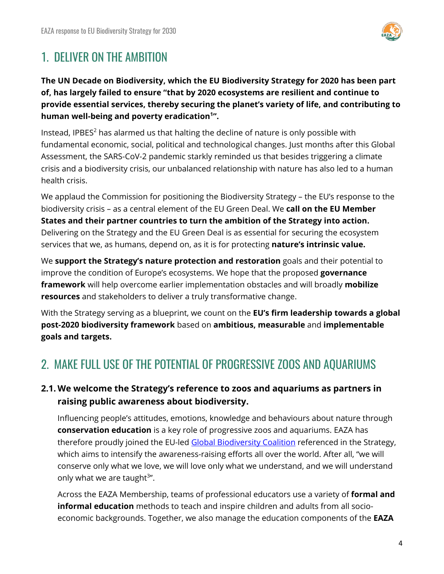

## 1. DELIVER ON THE AMBITION

**The UN Decade on Biodiversity, which the EU Biodiversity Strategy for 2020 has been part of, has largely failed to ensure "that by 2020 ecosystems are resilient and continue to provide essential services, thereby securing the planet's variety of life, and contributing to human well-being and poverty eradication<sup>1</sup> ".**

Instead, IPBES $2$  has alarmed us that halting the decline of nature is only possible with fundamental economic, social, political and technological changes. Just months after this Global Assessment, the SARS-CoV-2 pandemic starkly reminded us that besides triggering a climate crisis and a biodiversity crisis, our unbalanced relationship with nature has also led to a human health crisis.

We applaud the Commission for positioning the Biodiversity Strategy – the EU's response to the biodiversity crisis – as a central element of the EU Green Deal. We **call on the EU Member States and their partner countries to turn the ambition of the Strategy into action.**  Delivering on the Strategy and the EU Green Deal is as essential for securing the ecosystem services that we, as humans, depend on, as it is for protecting **nature's intrinsic value.**

We **support the Strategy's nature protection and restoration** goals and their potential to improve the condition of Europe's ecosystems. We hope that the proposed **governance framework** will help overcome earlier implementation obstacles and will broadly **mobilize resources** and stakeholders to deliver a truly transformative change.

With the Strategy serving as a blueprint, we count on the **EU's firm leadership towards a global post-2020 biodiversity framework** based on **ambitious, measurable** and **implementable goals and targets.**

### <span id="page-3-0"></span>2. MAKE FULL USE OF THE POTENTIAL OF PROGRESSIVE ZOOS AND AQUARIUMS

### **2.1. We welcome the Strategy's reference to zoos and aquariums as partners in raising public awareness about biodiversity.**

Influencing people's attitudes, emotions, knowledge and behaviours about nature through **conservation education** is a key role of progressive zoos and aquariums. EAZA has therefore proudly joined the EU-led [Global Biodiversity Coalition](https://www.eaza.net/assets/Uploads/EAZA-Documents-Other/EC-pledge.pdf) referenced in the Strategy, which aims to intensify the awareness-raising efforts all over the world. After all, "we will conserve only what we love, we will love only what we understand, and we will understand only what we are taught<sup>3</sup>".

Across the EAZA Membership, teams of professional educators use a variety of **formal and informal education** methods to teach and inspire children and adults from all socioeconomic backgrounds. Together, we also manage the education components of the **EAZA**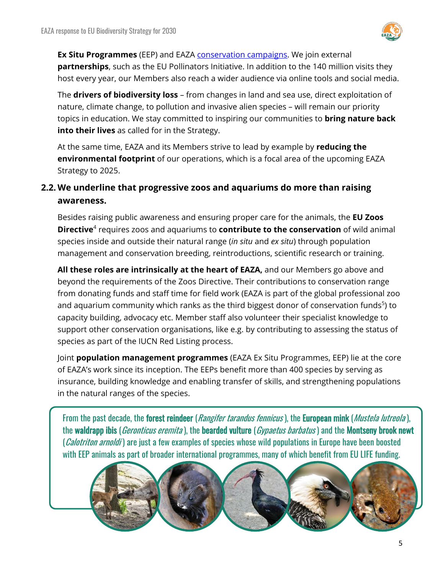

**Ex Situ Programmes** (EEP) and EAZA [conservation campaigns.](https://www.eaza.net/conservation/campaigns/) We join external **partnerships**, such as the EU Pollinators Initiative. In addition to the 140 million visits they host every year, our Members also reach a wider audience via online tools and social media.

The **drivers of biodiversity loss** – from changes in land and sea use, direct exploitation of nature, climate change, to pollution and invasive alien species – will remain our priority topics in education. We stay committed to inspiring our communities to **bring nature back into their lives** as called for in the Strategy.

At the same time, EAZA and its Members strive to lead by example by **reducing the environmental footprint** of our operations, which is a focal area of the upcoming EAZA Strategy to 2025.

### **2.2. We underline that progressive zoos and aquariums do more than raising awareness.**

Besides raising public awareness and ensuring proper care for the animals, the **EU Zoos Directive**<sup>4</sup> requires zoos and aquariums to **contribute to the conservation** of wild animal species inside and outside their natural range (*in situ* and *ex situ*) through population management and conservation breeding, reintroductions, scientific research or training.

**All these roles are intrinsically at the heart of EAZA,** and our Members go above and beyond the requirements of the Zoos Directive. Their contributions to conservation range from donating funds and staff time for field work (EAZA is part of the global professional zoo and aquarium community which ranks as the third biggest donor of conservation funds<sup>5</sup>) to capacity building, advocacy etc. Member staff also volunteer their specialist knowledge to support other conservation organisations, like e.g. by contributing to assessing the status of species as part of the IUCN Red Listing process.

Joint **population management programmes** (EAZA Ex Situ Programmes, EEP) lie at the core of EAZA's work since its inception. The EEPs benefit more than 400 species by serving as insurance, building knowledge and enabling transfer of skills, and strengthening populations in the natural ranges of the species.

From the past decade, the forest reindeer (*Rangifer tarandus fennicus*), the European mink (*Mustela lutreola*), the waldrapp ibis (*Geronticus eremita*), the bearded vulture (*Gypaetus barbatus*) and the Montseny brook newt (*Calotriton arnoldi*) are just a few examples of species whose wild populations in Europe have been boosted with EEP animals as part of broader international programmes, many of which benefit from EU LIFE funding.

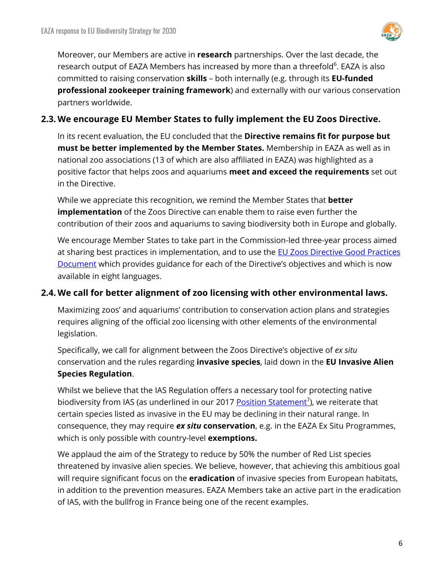

Moreover, our Members are active in **research** partnerships. Over the last decade, the research output of EAZA Members has increased by more than a threefold<sup>6</sup>. EAZA is also committed to raising conservation **skills** – both internally (e.g. through its **EU-funded professional zookeeper training framework**) and externally with our various conservation partners worldwide.

### **2.3. We encourage EU Member States to fully implement the EU Zoos Directive.**

In its recent evaluation, the EU concluded that the **Directive remains fit for purpose but must be better implemented by the Member States.** Membership in EAZA as well as in national zoo associations (13 of which are also affiliated in EAZA) was highlighted as a positive factor that helps zoos and aquariums **meet and exceed the requirements** set out in the Directive.

While we appreciate this recognition, we remind the Member States that **better implementation** of the Zoos Directive can enable them to raise even further the contribution of their zoos and aquariums to saving biodiversity both in Europe and globally.

We encourage Member States to take part in the Commission-led three-year process aimed at sharing best practices in implementation, and to use the **EU Zoos Directive Good Practices** [Document](https://ec.europa.eu/environment/nature/legislation/zoos/index_en.htm) which provides guidance for each of the Directive's objectives and which is now available in eight languages.

### **2.4. We call for better alignment of zoo licensing with other environmental laws.**

Maximizing zoos' and aquariums' contribution to conservation action plans and strategies requires aligning of the official zoo licensing with other elements of the environmental legislation.

Specifically, we call for alignment between the Zoos Directive's objective of *ex situ* conservation and the rules regarding **invasive species**, laid down in the **EU Invasive Alien Species Regulation**.

Whilst we believe that the IAS Regulation offers a necessary tool for protecting native biodiversity from IAS (as underlined in our 2017 [Position Statement](https://www.eaza.net/assets/Uploads/Position-statements/EAZA-Position-Statement-IAS-Regulation-2017-09-FINAL.pdf)<sup>7</sup>), we reiterate that certain species listed as invasive in the EU may be declining in their natural range. In consequence, they may require *ex situ* **conservation**, e.g. in the EAZA Ex Situ Programmes, which is only possible with country-level **exemptions.**

We applaud the aim of the Strategy to reduce by 50% the number of Red List species threatened by invasive alien species. We believe, however, that achieving this ambitious goal will require significant focus on the **eradication** of invasive species from European habitats, in addition to the prevention measures. EAZA Members take an active part in the eradication of IAS, with the bullfrog in France being one of the recent examples.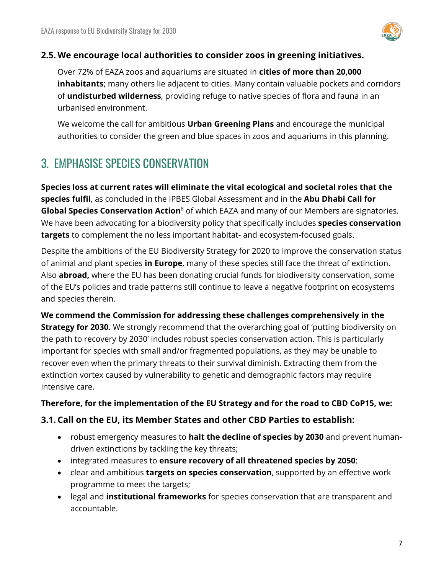

### **2.5. We encourage local authorities to consider zoos in greening initiatives.**

Over 72% of EAZA zoos and aquariums are situated in **cities of more than 20,000 inhabitants**; many others lie adjacent to cities. Many contain valuable pockets and corridors of **undisturbed wilderness**, providing refuge to native species of flora and fauna in an urbanised environment.

We welcome the call for ambitious **Urban Greening Plans** and encourage the municipal authorities to consider the green and blue spaces in zoos and aquariums in this planning.

### <span id="page-6-0"></span>3. EMPHASISE SPECIES CONSERVATION

**Species loss at current rates will eliminate the vital ecological and societal roles that the species fulfil**, as concluded in the IPBES Global Assessment and in the **Abu Dhabi Call for Global Species Conservation Action**<sup>8</sup> of which EAZA and many of our Members are signatories. We have been advocating for a biodiversity policy that specifically includes **species conservation targets** to complement the no less important habitat- and ecosystem-focused goals.

Despite the ambitions of the EU Biodiversity Strategy for 2020 to improve the conservation status of animal and plant species **in Europe**, many of these species still face the threat of extinction. Also **abroad,** where the EU has been donating crucial funds for biodiversity conservation, some of the EU's policies and trade patterns still continue to leave a negative footprint on ecosystems and species therein.

**We commend the Commission for addressing these challenges comprehensively in the Strategy for 2030.** We strongly recommend that the overarching goal of 'putting biodiversity on the path to recovery by 2030' includes robust species conservation action. This is particularly important for species with small and/or fragmented populations, as they may be unable to recover even when the primary threats to their survival diminish. Extracting them from the extinction vortex caused by vulnerability to genetic and demographic factors may require intensive care.

### **Therefore, for the implementation of the EU Strategy and for the road to CBD CoP15, we:**

### **3.1. Call on the EU, its Member States and other CBD Parties to establish:**

- robust emergency measures to **halt the decline of species by 2030** and prevent humandriven extinctions by tackling the key threats;
- integrated measures to **ensure recovery of all threatened species by 2050**;
- clear and ambitious **targets on species conservation**, supported by an effective work programme to meet the targets;
- legal and **institutional frameworks** for species conservation that are transparent and accountable.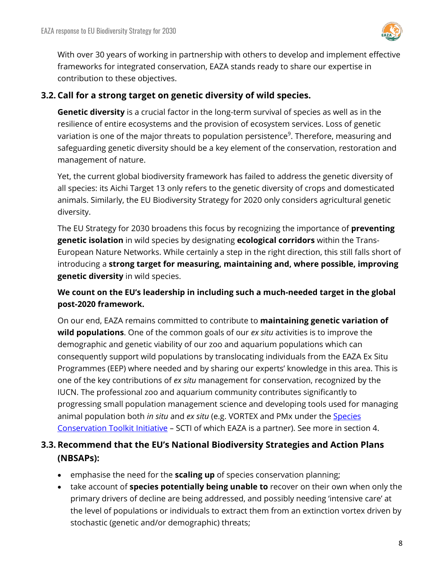

With over 30 years of working in partnership with others to develop and implement effective frameworks for integrated conservation, EAZA stands ready to share our expertise in contribution to these objectives.

### **3.2. Call for a strong target on genetic diversity of wild species.**

**Genetic diversity** is a crucial factor in the long-term survival of species as well as in the resilience of entire ecosystems and the provision of ecosystem services. Loss of genetic variation is one of the major threats to population persistence<sup>9</sup>. Therefore, measuring and safeguarding genetic diversity should be a key element of the conservation, restoration and management of nature.

Yet, the current global biodiversity framework has failed to address the genetic diversity of all species: its Aichi Target 13 only refers to the genetic diversity of crops and domesticated animals. Similarly, the EU Biodiversity Strategy for 2020 only considers agricultural genetic diversity.

The EU Strategy for 2030 broadens this focus by recognizing the importance of **preventing genetic isolation** in wild species by designating **ecological corridors** within the Trans-European Nature Networks. While certainly a step in the right direction, this still falls short of introducing a **strong target for measuring, maintaining and, where possible, improving genetic diversity** in wild species.

**We count on the EU's leadership in including such a much-needed target in the global post-2020 framework.** 

On our end, EAZA remains committed to contribute to **maintaining genetic variation of wild populations**. One of the common goals of our *ex situ* activities is to improve the demographic and genetic viability of our zoo and aquarium populations which can consequently support wild populations by translocating individuals from the EAZA Ex Situ Programmes (EEP) where needed and by sharing our experts' knowledge in this area. This is one of the key contributions of *ex situ* management for conservation, recognized by the IUCN. The professional zoo and aquarium community contributes significantly to progressing small population management science and developing tools used for managing animal population both *in situ* and *ex situ* (e.g. VORTEX and PMx under the [Species](https://scti.tools/)  [Conservation Toolkit](https://scti.tools/) Initiative – SCTI of which EAZA is a partner). See more in section 4.

### **3.3. Recommend that the EU's National Biodiversity Strategies and Action Plans (NBSAPs):**

- emphasise the need for the **scaling up** of species conservation planning;
- take account of **species potentially being unable to** recover on their own when only the primary drivers of decline are being addressed, and possibly needing 'intensive care' at the level of populations or individuals to extract them from an extinction vortex driven by stochastic (genetic and/or demographic) threats;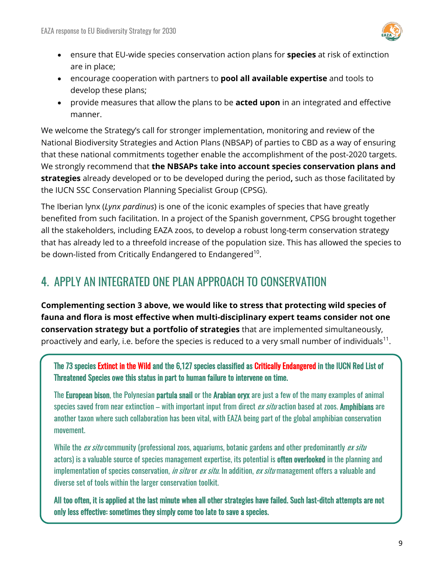

- ensure that EU-wide species conservation action plans for **species** at risk of extinction are in place;
- encourage cooperation with partners to **pool all available expertise** and tools to develop these plans;
- provide measures that allow the plans to be **acted upon** in an integrated and effective manner.

We welcome the Strategy's call for stronger implementation, monitoring and review of the National Biodiversity Strategies and Action Plans (NBSAP) of parties to CBD as a way of ensuring that these national commitments together enable the accomplishment of the post-2020 targets. We strongly recommend that **the NBSAPs take into account species conservation plans and strategies** already developed or to be developed during the period**,** such as those facilitated by the IUCN SSC Conservation Planning Specialist Group (CPSG).

The Iberian lynx (*Lynx pardinus*) is one of the iconic examples of species that have greatly benefited from such facilitation. In a project of the Spanish government, CPSG brought together all the stakeholders, including EAZA zoos, to develop a robust long-term conservation strategy that has already led to a threefold increase of the population size. This has allowed the species to be down-listed from Critically Endangered to Endangered<sup>10</sup>.

### <span id="page-8-0"></span>4. APPLY AN INTEGRATED ONE PLAN APPROACH TO CONSERVATION

**Complementing section 3 above, we would like to stress that protecting wild species of fauna and flora is most effective when multi-disciplinary expert teams consider not one conservation strategy but a portfolio of strategies** that are implemented simultaneously, proactively and early, i.e. before the species is reduced to a very small number of individuals $^{11}$ .

The 73 species Extinct in the Wild and the 6,127 species classified as Critically Endangered in the IUCN Red List of Threatened Species owe this status in part to human failure to intervene on time.

The European bison, the Polynesian partula snail or the Arabian oryx are just a few of the many examples of animal species saved from near extinction – with important input from direct ex situ action based at zoos. Amphibians are another taxon where such collaboration has been vital, with EAZA being part of the global amphibian conservation movement.

While the ex situ community (professional zoos, aquariums, botanic gardens and other predominantly ex situ actors) is a valuable source of species management expertise, its potential is **often overlooked** in the planning and implementation of species conservation, *in situ* or *ex situ*. In addition, *ex situ* management offers a valuable and diverse set of tools within the larger conservation toolkit.

All too often, it is applied at the last minute when all other strategies have failed. Such last-ditch attempts are not only less effective: sometimes they simply come too late to save a species.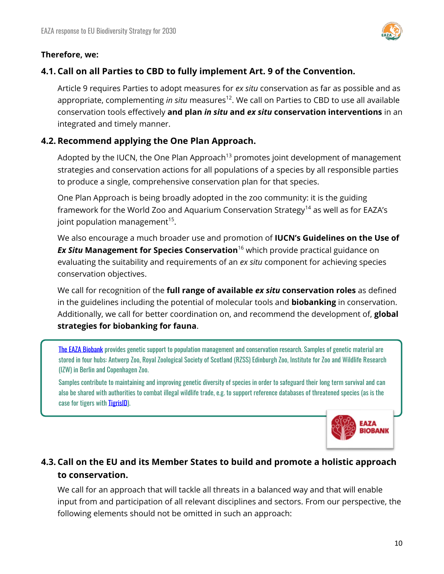



### **4.1. Call on all Parties to CBD to fully implement Art. 9 of the Convention.**

Article 9 requires Parties to adopt measures for *ex situ* conservation as far as possible and as appropriate, complementing *in situ* measures<sup>12</sup>. We call on Parties to CBD to use all available conservation tools effectively **and plan** *in situ* **and** *ex situ* **conservation interventions** in an integrated and timely manner.

### **4.2. Recommend applying the One Plan Approach.**

Adopted by the IUCN, the One Plan Approach<sup>13</sup> promotes joint development of management strategies and conservation actions for all populations of a species by all responsible parties to produce a single, comprehensive conservation plan for that species.

One Plan Approach is being broadly adopted in the zoo community: it is the guiding framework for the World Zoo and Aquarium Conservation Strategy<sup>14</sup> as well as for EAZA's joint population management $^{15}$ .

We also encourage a much broader use and promotion of **IUCN's Guidelines on the Use of**  *Ex Situ* **Management for Species Conservation**<sup>16</sup> which provide practical guidance on evaluating the suitability and requirements of an *ex situ* component for achieving species conservation objectives.

We call for recognition of the **full range of available** *ex situ* **conservation roles** as defined in the guidelines including the potential of molecular tools and **biobanking** in conservation. Additionally, we call for better coordination on, and recommend the development of, **global strategies for biobanking for fauna**.

[The EAZA Biobank](https://www.eaza.net/conservation/research/eaza-biobank/) provides genetic support to population management and conservation research. Samples of genetic material are stored in four hubs: Antwerp Zoo, Royal Zoological Society of Scotland (RZSS) Edinburgh Zoo, Institute for Zoo and Wildlife Research (IZW) in Berlin and Copenhagen Zoo.

Samples contribute to maintaining and improving genetic diversity of species in order to safeguard their long term survival and can also be shared with authorities to combat illegal wildlife trade, e.g. to support reference databases of threatened species (as is the case for tigers with **TigrisID**).



### **4.3. Call on the EU and its Member States to build and promote a holistic approach to conservation.**

We call for an approach that will tackle all threats in a balanced way and that will enable input from and participation of all relevant disciplines and sectors. From our perspective, the following elements should not be omitted in such an approach: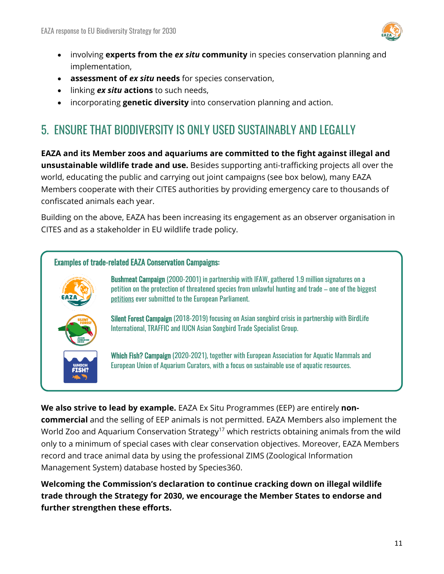

- involving **experts from the** *ex situ* **community** in species conservation planning and implementation,
- **assessment of** *ex situ* **needs** for species conservation,
- linking *ex situ* **actions** to such needs,
- incorporating **genetic diversity** into conservation planning and action.

### <span id="page-10-0"></span>5. ENSURE THAT BIODIVERSITY IS ONLY USED SUSTAINABLY AND LEGALLY

**EAZA and its Member zoos and aquariums are committed to the fight against illegal and unsustainable wildlife trade and use.** Besides supporting anti-trafficking projects all over the world, educating the public and carrying out joint campaigns (see box below), many EAZA Members cooperate with their CITES authorities by providing emergency care to thousands of confiscated animals each year.

Building on the above, EAZA has been increasing its engagement as an observer organisation in CITES and as a stakeholder in EU wildlife trade policy.

#### Examples of trade-related EAZA Conservation Campaigns:





Bushmeat Campaign (2000-2001) in partnership with IFAW, gathered 1.9 million signatures on a petition on the protection of threatened species from unlawful hunting and trade – one of the biggest [petitions](https://www.europarl.europa.eu/sides/getDoc.do?type=REPORT&reference=A5-2003-0355&language=EN) ever submitted to the European Parliament.

Silent Forest Campaign (2018-2019) focusing on Asian songbird crisis in partnership with BirdLife International, TRAFFIC and IUCN Asian Songbird Trade Specialist Group.

**Which Fish? Campaign** (2020-2021), together with European Association for Aquatic Mammals and European Union of Aquarium Curators, with a focus on sustainable use of aquatic resources.

**We also strive to lead by example.** EAZA Ex Situ Programmes (EEP) are entirely **noncommercial** and the selling of EEP animals is not permitted. EAZA Members also implement the World Zoo and Aquarium Conservation Strategy<sup>17</sup> which restricts obtaining animals from the wild only to a minimum of special cases with clear conservation objectives. Moreover, EAZA Members record and trace animal data by using the professional ZIMS (Zoological Information Management System) database hosted by Species360.

**Welcoming the Commission's declaration to continue cracking down on illegal wildlife trade through the Strategy for 2030, we encourage the Member States to endorse and further strengthen these efforts.**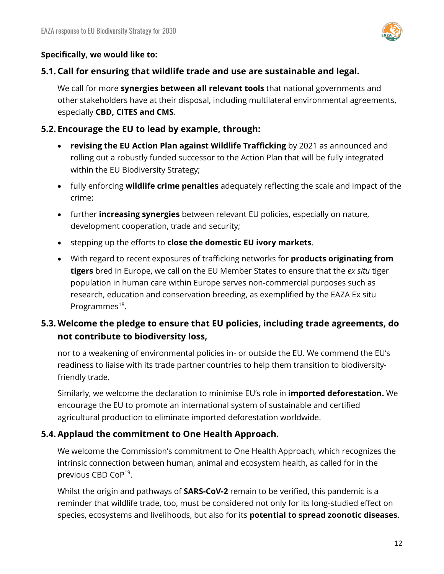

#### **Specifically, we would like to:**

#### **5.1. Call for ensuring that wildlife trade and use are sustainable and legal.**

We call for more **synergies between all relevant tools** that national governments and other stakeholders have at their disposal, including multilateral environmental agreements, especially **CBD, CITES and CMS**.

#### **5.2. Encourage the EU to lead by example, through:**

- **revising the EU Action Plan against Wildlife Trafficking** by 2021 as announced and rolling out a robustly funded successor to the Action Plan that will be fully integrated within the EU Biodiversity Strategy;
- fully enforcing **wildlife crime penalties** adequately reflecting the scale and impact of the crime;
- further **increasing synergies** between relevant EU policies, especially on nature, development cooperation, trade and security;
- stepping up the efforts to **close the domestic EU ivory markets**.
- With regard to recent exposures of trafficking networks for **products originating from tigers** bred in Europe, we call on the EU Member States to ensure that the *ex situ* tiger population in human care within Europe serves non-commercial purposes such as research, education and conservation breeding, as exemplified by the EAZA Ex situ Programmes<sup>18</sup>.

### **5.3. Welcome the pledge to ensure that EU policies, including trade agreements, do not contribute to biodiversity loss,**

nor to a weakening of environmental policies in- or outside the EU. We commend the EU's readiness to liaise with its trade partner countries to help them transition to biodiversityfriendly trade.

Similarly, we welcome the declaration to minimise EU's role in **imported deforestation.** We encourage the EU to promote an international system of sustainable and certified agricultural production to eliminate imported deforestation worldwide.

### **5.4. Applaud the commitment to One Health Approach.**

We welcome the Commission's commitment to One Health Approach, which recognizes the intrinsic connection between human, animal and ecosystem health, as called for in the previous CBD CoP<sup>19</sup>.

Whilst the origin and pathways of **SARS-CoV-2** remain to be verified, this pandemic is a reminder that wildlife trade, too, must be considered not only for its long-studied effect on species, ecosystems and livelihoods, but also for its **potential to spread zoonotic diseases**.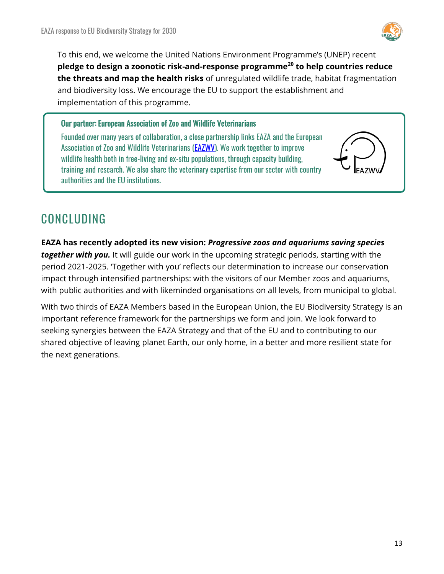

To this end, we welcome the United Nations Environment Programme's (UNEP) recent **pledge to design a zoonotic risk-and-response programme<sup>20</sup> to help countries reduce the threats and map the health risks** of unregulated wildlife trade, habitat fragmentation and biodiversity loss. We encourage the EU to support the establishment and implementation of this programme.

Our partner: European Association of Zoo and Wildlife Veterinarians

Founded over many years of collaboration, a close partnership links EAZA and the European Association of Zoo and Wildlife Veterinarians (**EAZWV**). We work together to improve wildlife health both in free-living and ex-situ populations, through capacity building, training and research. We also share the veterinary expertise from our sector with country authorities and the EU institutions.

### CONCLUDING

**EAZA has recently adopted its new vision:** *Progressive zoos and aquariums saving species together with you.* It will guide our work in the upcoming strategic periods, starting with the period 2021-2025. 'Together with you' reflects our determination to increase our conservation impact through intensified partnerships: with the visitors of our Member zoos and aquariums, with public authorities and with likeminded organisations on all levels, from municipal to global.

With two thirds of EAZA Members based in the European Union, the EU Biodiversity Strategy is an important reference framework for the partnerships we form and join. We look forward to seeking synergies between the EAZA Strategy and that of the EU and to contributing to our shared objective of leaving planet Earth, our only home, in a better and more resilient state for the next generations.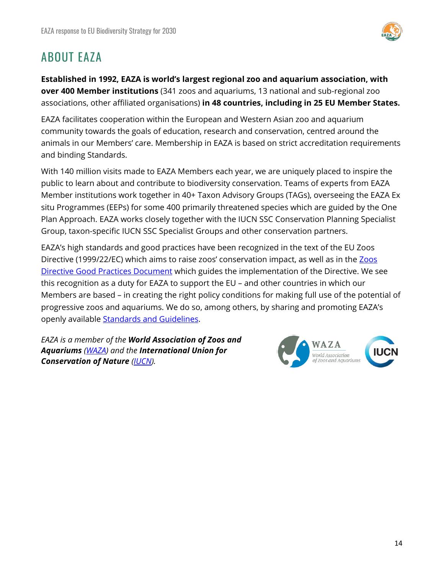

### ABOUT EAZA

**Established in 1992, EAZA is world's largest regional zoo and aquarium association, with over 400 Member institutions** (341 zoos and aquariums, 13 national and sub-regional zoo associations, other affiliated organisations) **in 48 countries, including in 25 EU Member States.** 

EAZA facilitates cooperation within the European and Western Asian zoo and aquarium community towards the goals of education, research and conservation, centred around the animals in our Members' care. Membership in EAZA is based on strict accreditation requirements and binding Standards.

With 140 million visits made to EAZA Members each year, we are uniquely placed to inspire the public to learn about and contribute to biodiversity conservation. Teams of experts from EAZA Member institutions work together in 40+ Taxon Advisory Groups (TAGs), overseeing the EAZA Ex situ Programmes (EEPs) for some 400 primarily threatened species which are guided by the One Plan Approach. EAZA works closely together with the IUCN SSC Conservation Planning Specialist Group, taxon-specific IUCN SSC Specialist Groups and other conservation partners.

EAZA's high standards and good practices have been recognized in the text of the EU Zoos Directive (1999/22/EC) which aims to raise zoos' conservation impact, as well as in the [Zoos](https://ec.europa.eu/environment/nature/legislation/zoos/index_en.htm)  [Directive Good Practices Document](https://ec.europa.eu/environment/nature/legislation/zoos/index_en.htm) which guides the implementation of the Directive. We see this recognition as a duty for EAZA to support the EU – and other countries in which our Members are based – in creating the right policy conditions for making full use of the potential of progressive zoos and aquariums. We do so, among others, by sharing and promoting EAZA's openly available **Standards and Guidelines**.

*EAZA is a member of the World Association of Zoos and Aquariums [\(WAZA\)](https://www.waza.org/) and the International Union for Conservation of Nature [\(IUCN\)](https://www.iucn.org/).*